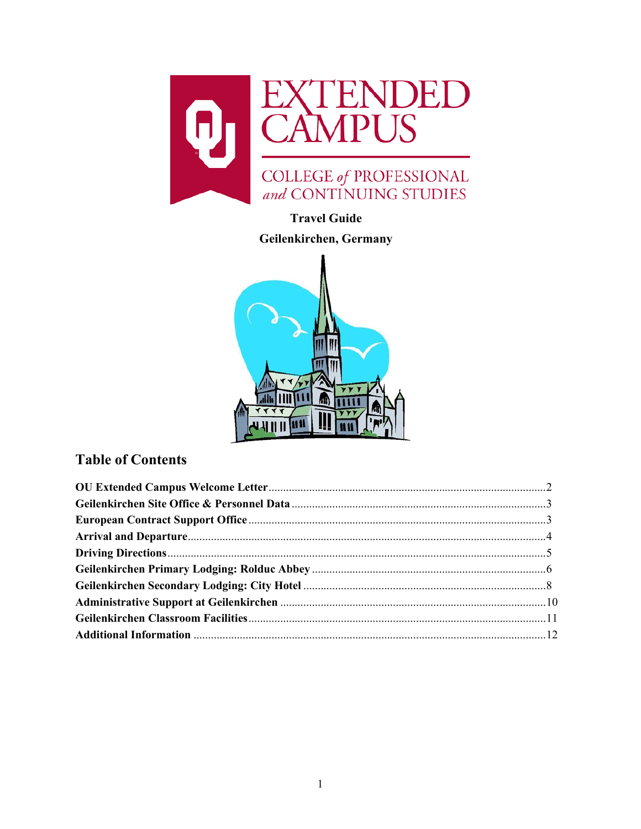

# **Travel Guide**

# Geilenkirchen, Germany



# **Table of Contents**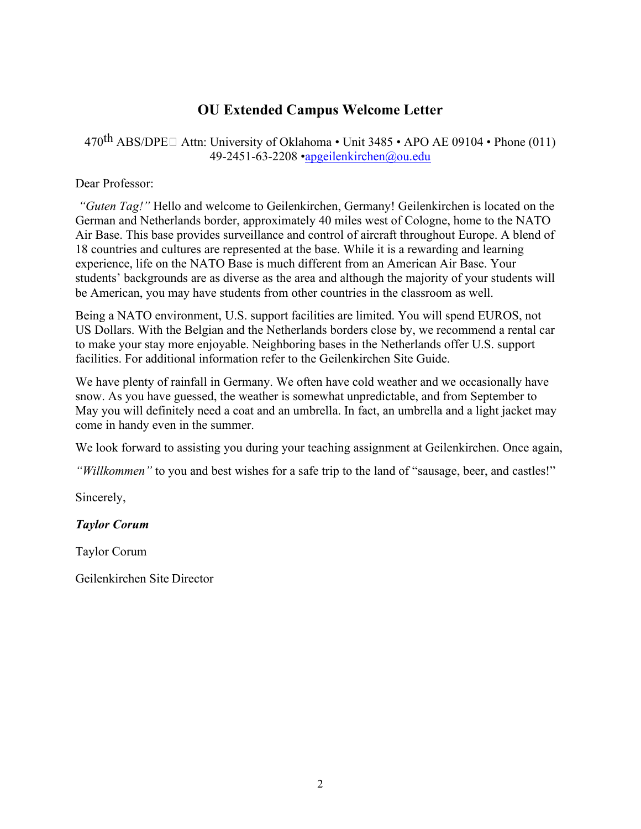# **OU Extended Campus Welcome Letter**

<span id="page-1-0"></span>470<sup>th</sup> ABS/DPE $\Box$  Attn: University of Oklahoma • Unit 3485 • APO AE 09104 • Phone (011) 49-2451-63-2208 [•apgeilenkirchen@ou.edu](mailto:apgeilenkirchen@ou.edu)

#### Dear Professor:

*"Guten Tag!"* Hello and welcome to Geilenkirchen, Germany! Geilenkirchen is located on the German and Netherlands border, approximately 40 miles west of Cologne, home to the NATO Air Base. This base provides surveillance and control of aircraft throughout Europe. A blend of 18 countries and cultures are represented at the base. While it is a rewarding and learning experience, life on the NATO Base is much different from an American Air Base. Your students' backgrounds are as diverse as the area and although the majority of your students will be American, you may have students from other countries in the classroom as well.

Being a NATO environment, U.S. support facilities are limited. You will spend EUROS, not US Dollars. With the Belgian and the Netherlands borders close by, we recommend a rental car to make your stay more enjoyable. Neighboring bases in the Netherlands offer U.S. support facilities. For additional information refer to the Geilenkirchen Site Guide.

We have plenty of rainfall in Germany. We often have cold weather and we occasionally have snow. As you have guessed, the weather is somewhat unpredictable, and from September to May you will definitely need a coat and an umbrella. In fact, an umbrella and a light jacket may come in handy even in the summer.

We look forward to assisting you during your teaching assignment at Geilenkirchen. Once again,

*"Willkommen"* to you and best wishes for a safe trip to the land of "sausage, beer, and castles!"

Sincerely,

# *Taylor Corum*

Taylor Corum

Geilenkirchen Site Director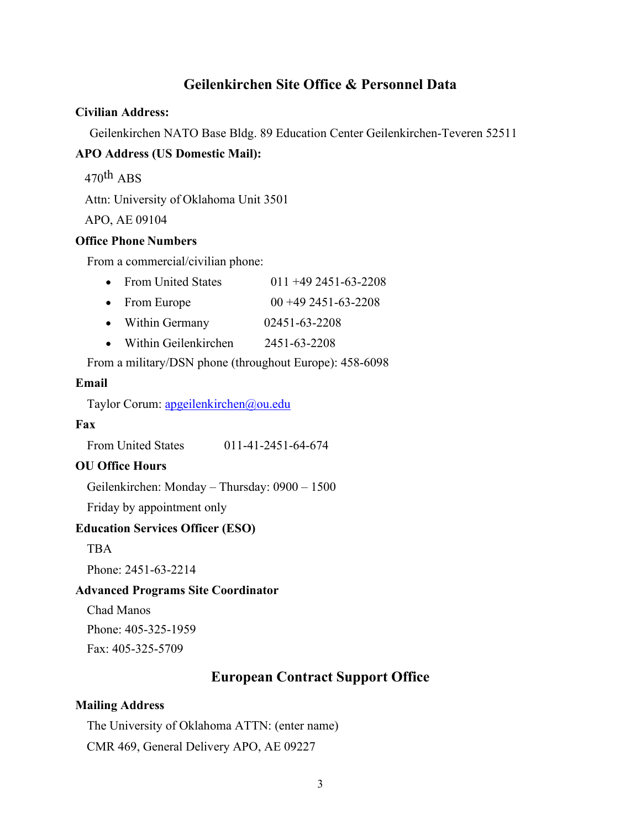# **Geilenkirchen Site Office & Personnel Data**

#### <span id="page-2-0"></span>**Civilian Address:**

Geilenkirchen NATO Base Bldg. 89 Education Center Geilenkirchen-Teveren 52511

#### **APO Address (US Domestic Mail):**

 $470^{\text{th}}$  ABS

Attn: University of Oklahoma Unit 3501

APO, AE 09104

#### **Office Phone Numbers**

From a commercial/civilian phone:

- From United States  $011 + 492451 63 2208$
- From Europe  $00 + 49 + 2451 63 2208$
- Within Germany 02451-63-2208
- Within Geilenkirchen 2451-63-2208

From a military/DSN phone (throughout Europe): 458-6098

#### **Email**

Taylor Corum: [apgeilenkirchen@ou.edu](mailto:apgeilenkirchen@ou.edu)

#### **Fax**

From United States 011-41-2451-64-674

# **OU Office Hours**

Geilenkirchen: Monday – Thursday: 0900 – 1500

Friday by appointment only

#### **Education Services Officer (ESO)**

**TBA** 

Phone: 2451-63-2214

#### **Advanced Programs Site Coordinator**

Chad Manos

Phone: 405-325-1959

<span id="page-2-1"></span>Fax: 405-325-5709

# **European Contract Support Office**

#### **Mailing Address**

The University of Oklahoma ATTN: (enter name) CMR 469, General Delivery APO, AE 09227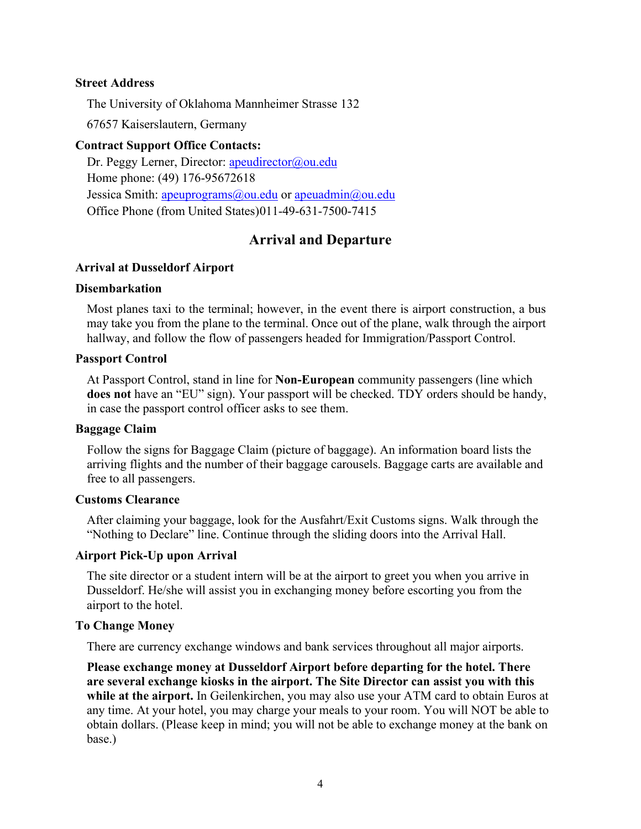#### **Street Address**

The University of Oklahoma Mannheimer Strasse 132

67657 Kaiserslautern, Germany

#### **Contract Support Office Contacts:**

Dr. Peggy Lerner, Director: [apeudirector@ou.edu](mailto:apeudirector@ou.edu) Home phone: (49) 176-95672618 Jessica Smith: [apeuprograms@ou.edu](mailto:apeuprograms@ou.edu) or [apeuadmin@ou.edu](mailto:apeuadmin@ou.edu) Office Phone (from United States)011-49-631-7500-7415

# **Arrival and Departure**

#### <span id="page-3-0"></span>**Arrival at Dusseldorf Airport**

#### **Disembarkation**

Most planes taxi to the terminal; however, in the event there is airport construction, a bus may take you from the plane to the terminal. Once out of the plane, walk through the airport hallway, and follow the flow of passengers headed for Immigration/Passport Control.

#### **Passport Control**

At Passport Control, stand in line for **Non-European** community passengers (line which **does not** have an "EU" sign). Your passport will be checked. TDY orders should be handy, in case the passport control officer asks to see them.

#### **Baggage Claim**

Follow the signs for Baggage Claim (picture of baggage). An information board lists the arriving flights and the number of their baggage carousels. Baggage carts are available and free to all passengers.

#### **Customs Clearance**

After claiming your baggage, look for the Ausfahrt/Exit Customs signs. Walk through the "Nothing to Declare" line. Continue through the sliding doors into the Arrival Hall.

#### **Airport Pick-Up upon Arrival**

The site director or a student intern will be at the airport to greet you when you arrive in Dusseldorf. He/she will assist you in exchanging money before escorting you from the airport to the hotel.

#### **To Change Money**

There are currency exchange windows and bank services throughout all major airports.

**Please exchange money at Dusseldorf Airport before departing for the hotel. There are several exchange kiosks in the airport. The Site Director can assist you with this while at the airport.** In Geilenkirchen, you may also use your ATM card to obtain Euros at any time. At your hotel, you may charge your meals to your room. You will NOT be able to obtain dollars. (Please keep in mind; you will not be able to exchange money at the bank on base.)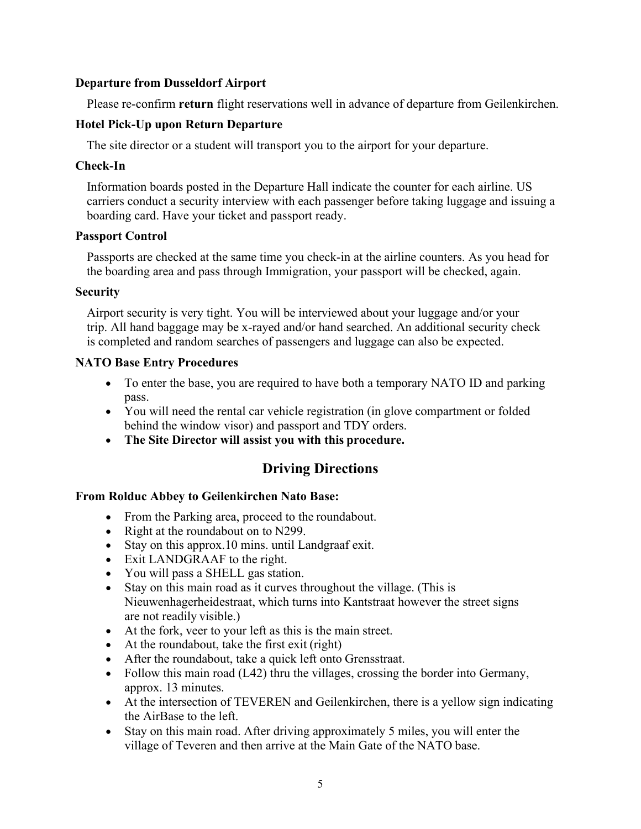### **Departure from Dusseldorf Airport**

Please re-confirm **return** flight reservations well in advance of departure from Geilenkirchen.

# **Hotel Pick-Up upon Return Departure**

The site director or a student will transport you to the airport for your departure.

## **Check-In**

Information boards posted in the Departure Hall indicate the counter for each airline. US carriers conduct a security interview with each passenger before taking luggage and issuing a boarding card. Have your ticket and passport ready.

## **Passport Control**

Passports are checked at the same time you check-in at the airline counters. As you head for the boarding area and pass through Immigration, your passport will be checked, again.

#### **Security**

Airport security is very tight. You will be interviewed about your luggage and/or your trip. All hand baggage may be x-rayed and/or hand searched. An additional security check is completed and random searches of passengers and luggage can also be expected.

## **NATO Base Entry Procedures**

- To enter the base, you are required to have both a temporary NATO ID and parking pass.
- You will need the rental car vehicle registration (in glove compartment or folded behind the window visor) and passport and TDY orders.
- <span id="page-4-0"></span>• **The Site Director will assist you with this procedure.**

# **Driving Directions**

# **From Rolduc Abbey to Geilenkirchen Nato Base:**

- From the Parking area, proceed to the roundabout.
- Right at the roundabout on to N299.
- Stay on this approx.10 mins. until Landgraaf exit.
- Exit LANDGRAAF to the right.
- You will pass a SHELL gas station.
- Stay on this main road as it curves throughout the village. (This is Nieuwenhagerheidestraat, which turns into Kantstraat however the street signs are not readily visible.)
- At the fork, veer to your left as this is the main street.
- At the roundabout, take the first exit (right)
- After the roundabout, take a quick left onto Grensstraat.
- Follow this main road (L42) thru the villages, crossing the border into Germany, approx. 13 minutes.
- At the intersection of TEVEREN and Geilenkirchen, there is a yellow sign indicating the AirBase to the left.
- Stay on this main road. After driving approximately 5 miles, you will enter the village of Teveren and then arrive at the Main Gate of the NATO base.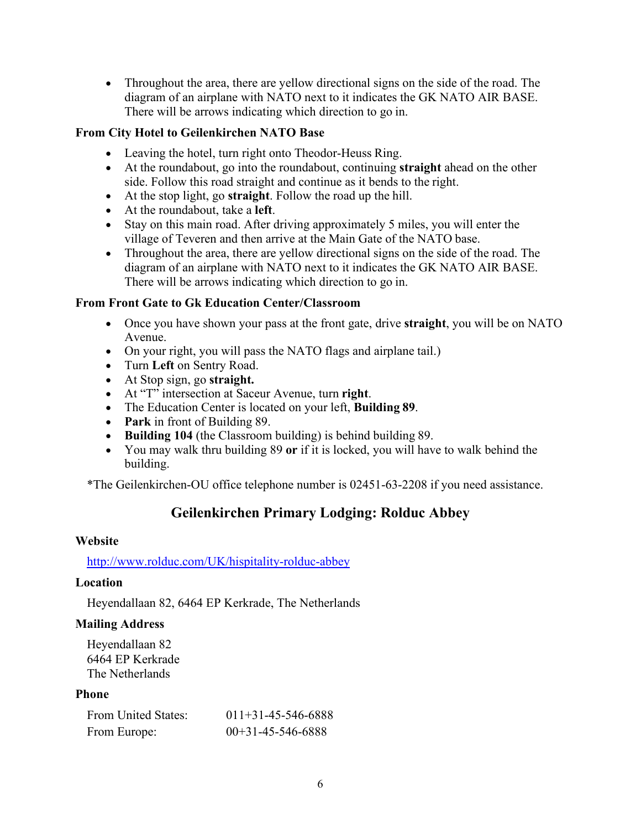• Throughout the area, there are yellow directional signs on the side of the road. The diagram of an airplane with NATO next to it indicates the GK NATO AIR BASE. There will be arrows indicating which direction to go in.

# **From City Hotel to Geilenkirchen NATO Base**

- Leaving the hotel, turn right onto Theodor-Heuss Ring.
- At the roundabout, go into the roundabout, continuing **straight** ahead on the other side. Follow this road straight and continue as it bends to the right.
- At the stop light, go **straight**. Follow the road up the hill.
- At the roundabout, take a **left**.
- Stay on this main road. After driving approximately 5 miles, you will enter the village of Teveren and then arrive at the Main Gate of the NATO base.
- Throughout the area, there are yellow directional signs on the side of the road. The diagram of an airplane with NATO next to it indicates the GK NATO AIR BASE. There will be arrows indicating which direction to go in.

# **From Front Gate to Gk Education Center/Classroom**

- Once you have shown your pass at the front gate, drive **straight**, you will be on NATO Avenue.
- On your right, you will pass the NATO flags and airplane tail.)
- Turn **Left** on Sentry Road.
- At Stop sign, go **straight.**
- At "T" intersection at Saceur Avenue, turn **right**.
- The Education Center is located on your left, **Building 89**.
- **Park** in front of Building 89.
- **Building 104** (the Classroom building) is behind building 89.
- You may walk thru building 89 **or** if it is locked, you will have to walk behind the building.

<span id="page-5-0"></span>\*The Geilenkirchen-OU office telephone number is 02451-63-2208 if you need assistance.

# **Geilenkirchen Primary Lodging: Rolduc Abbey**

# **Website**

# <http://www.rolduc.com/UK/hispitality-rolduc-abbey>

# **Location**

Heyendallaan 82, 6464 EP Kerkrade, The Netherlands

# **Mailing Address**

Heyendallaan 82 6464 EP Kerkrade The Netherlands

# **Phone**

| From United States: | $011+31-45-546-6888$ |
|---------------------|----------------------|
| From Europe:        | $00+31-45-546-6888$  |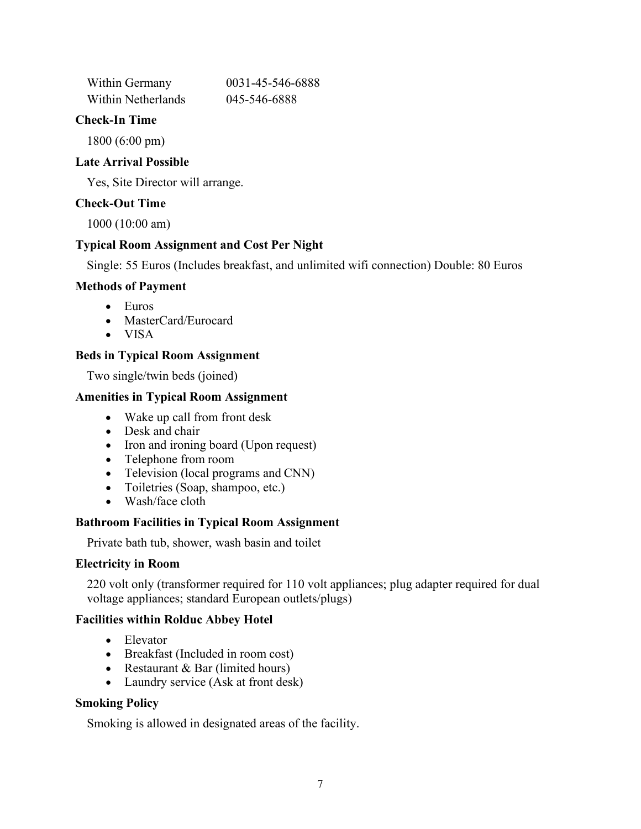| Within Germany     | 0031-45-546-6888 |
|--------------------|------------------|
| Within Netherlands | 045-546-6888     |

#### **Check-In Time**

1800 (6:00 pm)

## **Late Arrival Possible**

Yes, Site Director will arrange.

# **Check-Out Time**

1000 (10:00 am)

# **Typical Room Assignment and Cost Per Night**

Single: 55 Euros (Includes breakfast, and unlimited wifi connection) Double: 80 Euros

## **Methods of Payment**

- Euros
- MasterCard/Eurocard
- VISA

## **Beds in Typical Room Assignment**

Two single/twin beds (joined)

## **Amenities in Typical Room Assignment**

- Wake up call from front desk
- Desk and chair
- Iron and ironing board (Upon request)
- Telephone from room
- Television (local programs and CNN)
- Toiletries (Soap, shampoo, etc.)
- Wash/face cloth

#### **Bathroom Facilities in Typical Room Assignment**

Private bath tub, shower, wash basin and toilet

#### **Electricity in Room**

220 volt only (transformer required for 110 volt appliances; plug adapter required for dual voltage appliances; standard European outlets/plugs)

#### **Facilities within Rolduc Abbey Hotel**

- Elevator
- Breakfast (Included in room cost)
- Restaurant & Bar (limited hours)
- Laundry service (Ask at front desk)

# **Smoking Policy**

Smoking is allowed in designated areas of the facility.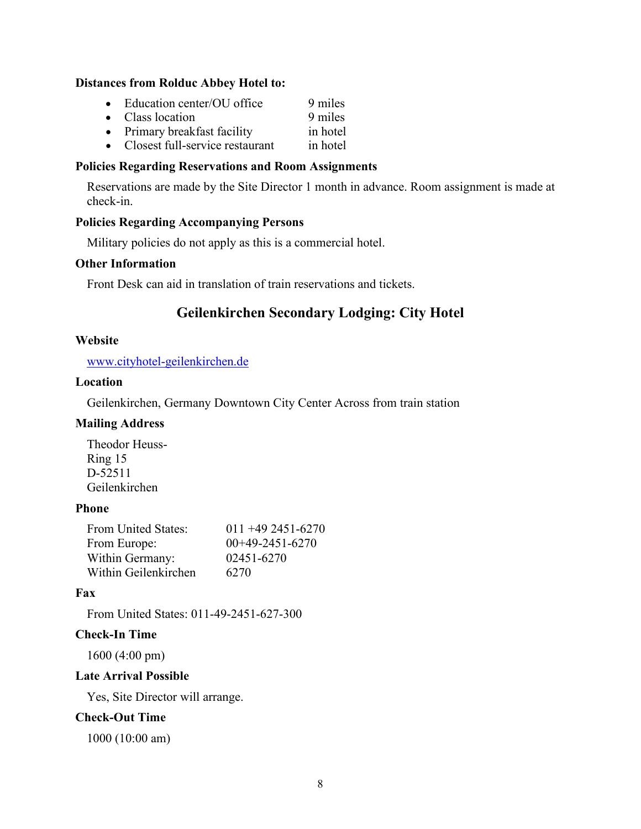#### **Distances from Rolduc Abbey Hotel to:**

| Education center/OU office | 9 miles |
|----------------------------|---------|
| • Class location           | 9 miles |

- Primary breakfast facility in hotel
- Closest full-service restaurant in hotel

#### **Policies Regarding Reservations and Room Assignments**

Reservations are made by the Site Director 1 month in advance. Room assignment is made at check-in.

#### **Policies Regarding Accompanying Persons**

Military policies do not apply as this is a commercial hotel.

#### **Other Information**

<span id="page-7-0"></span>Front Desk can aid in translation of train reservations and tickets.

# **Geilenkirchen Secondary Lodging: City Hotel**

#### **Website**

[www.cityhotel-geilenkirchen.de](http://www.cityhotel-geilenkirchen.de/)

## **Location**

Geilenkirchen, Germany Downtown City Center Across from train station

# **Mailing Address**

Theodor Heuss-Ring 15 D-52511 Geilenkirchen

### **Phone**

| From United States:  | $011 + 492451 - 6270$ |
|----------------------|-----------------------|
| From Europe:         | $00+49-2451-6270$     |
| Within Germany:      | 02451-6270            |
| Within Geilenkirchen | 6270                  |

# **Fax**

From United States: 011-49-2451-627-300

# **Check-In Time**

1600 (4:00 pm)

# **Late Arrival Possible**

Yes, Site Director will arrange.

# **Check-Out Time**

1000 (10:00 am)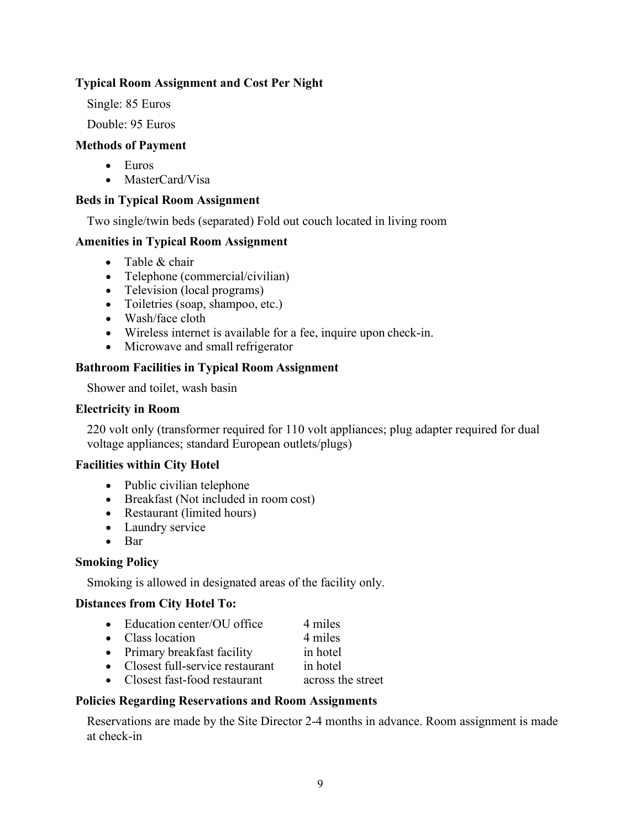# **Typical Room Assignment and Cost Per Night**

Single: 85 Euros

Double: 95 Euros

#### **Methods of Payment**

- Euros
- MasterCard/Visa

#### **Beds in Typical Room Assignment**

Two single/twin beds (separated) Fold out couch located in living room

#### **Amenities in Typical Room Assignment**

- Table & chair
- Telephone (commercial/civilian)
- Television (local programs)
- Toiletries (soap, shampoo, etc.)
- Wash/face cloth
- Wireless internet is available for a fee, inquire upon check-in.
- Microwave and small refrigerator

#### **Bathroom Facilities in Typical Room Assignment**

Shower and toilet, wash basin

#### **Electricity in Room**

220 volt only (transformer required for 110 volt appliances; plug adapter required for dual voltage appliances; standard European outlets/plugs)

#### **Facilities within City Hotel**

- Public civilian telephone
- Breakfast (Not included in room cost)
- Restaurant (limited hours)
- Laundry service
- Bar

#### **Smoking Policy**

Smoking is allowed in designated areas of the facility only.

#### **Distances from City Hotel To:**

- Education center/OU office 4 miles
- Class location 4 miles
- Primary breakfast facility in hotel
- Closest full-service restaurant in hotel
- Closest fast-food restaurant across the street

#### **Policies Regarding Reservations and Room Assignments**

Reservations are made by the Site Director 2-4 months in advance. Room assignment is made at check-in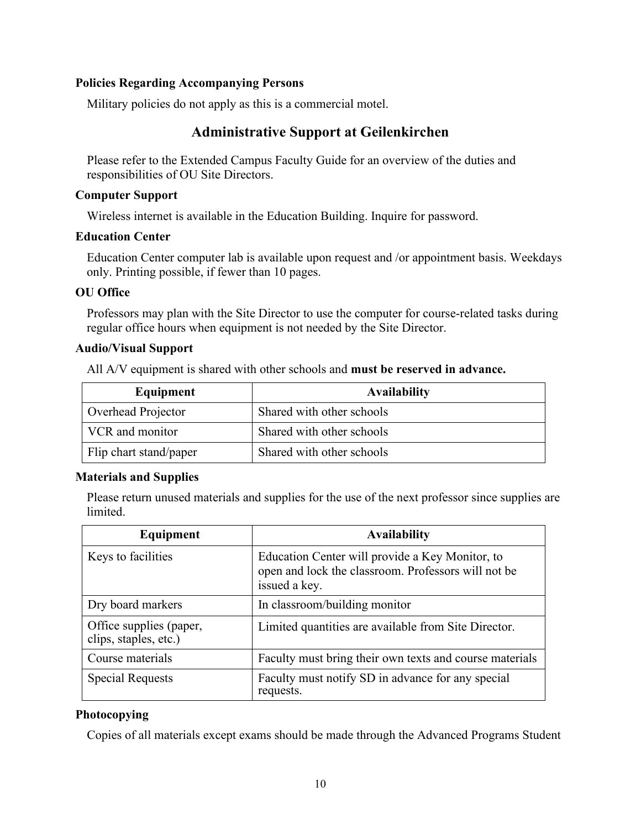#### **Policies Regarding Accompanying Persons**

<span id="page-9-0"></span>Military policies do not apply as this is a commercial motel.

# **Administrative Support at Geilenkirchen**

Please refer to the Extended Campus Faculty Guide for an overview of the duties and responsibilities of OU Site Directors.

#### **Computer Support**

Wireless internet is available in the Education Building. Inquire for password.

#### **Education Center**

Education Center computer lab is available upon request and /or appointment basis. Weekdays only. Printing possible, if fewer than 10 pages.

## **OU Office**

Professors may plan with the Site Director to use the computer for course-related tasks during regular office hours when equipment is not needed by the Site Director.

## **Audio/Visual Support**

All A/V equipment is shared with other schools and **must be reserved in advance.**

| Equipment              | <b>Availability</b>       |
|------------------------|---------------------------|
| Overhead Projector     | Shared with other schools |
| VCR and monitor        | Shared with other schools |
| Flip chart stand/paper | Shared with other schools |

#### **Materials and Supplies**

Please return unused materials and supplies for the use of the next professor since supplies are limited.

| Equipment                                        | <b>Availability</b>                                                                                                     |
|--------------------------------------------------|-------------------------------------------------------------------------------------------------------------------------|
| Keys to facilities                               | Education Center will provide a Key Monitor, to<br>open and lock the classroom. Professors will not be<br>issued a key. |
| Dry board markers                                | In classroom/building monitor                                                                                           |
| Office supplies (paper,<br>clips, staples, etc.) | Limited quantities are available from Site Director.                                                                    |
| Course materials                                 | Faculty must bring their own texts and course materials                                                                 |
| <b>Special Requests</b>                          | Faculty must notify SD in advance for any special<br>requests.                                                          |

# **Photocopying**

Copies of all materials except exams should be made through the Advanced Programs Student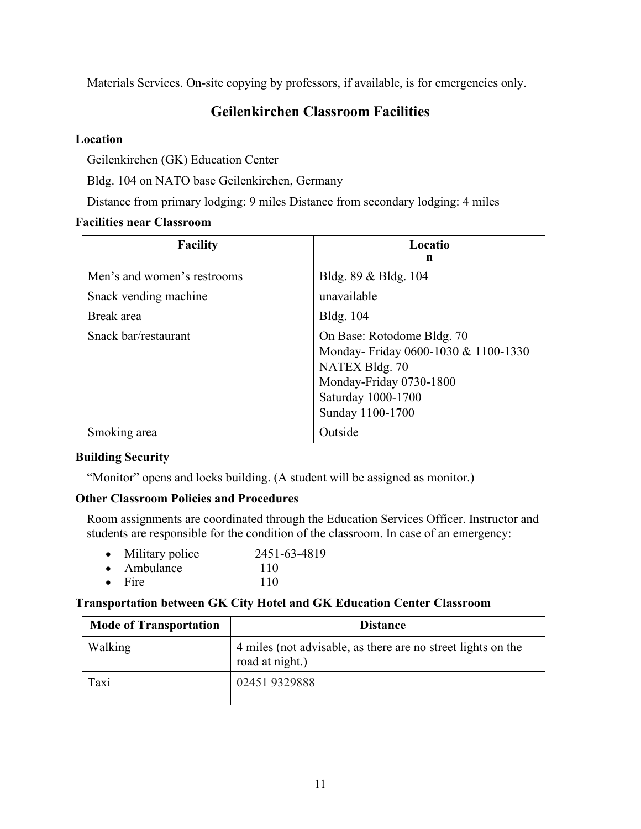<span id="page-10-0"></span>Materials Services. On-site copying by professors, if available, is for emergencies only.

# **Geilenkirchen Classroom Facilities**

# **Location**

Geilenkirchen (GK) Education Center

Bldg. 104 on NATO base Geilenkirchen, Germany

Distance from primary lodging: 9 miles Distance from secondary lodging: 4 miles

# **Facilities near Classroom**

| <b>Facility</b>             | Locatio<br>n                                                                                                                                             |
|-----------------------------|----------------------------------------------------------------------------------------------------------------------------------------------------------|
| Men's and women's restrooms | Bldg. 89 & Bldg. 104                                                                                                                                     |
| Snack vending machine       | unavailable                                                                                                                                              |
| Break area                  | <b>Bldg.</b> 104                                                                                                                                         |
| Snack bar/restaurant        | On Base: Rotodome Bldg. 70<br>Monday-Friday 0600-1030 & 1100-1330<br>NATEX Bldg. 70<br>Monday-Friday 0730-1800<br>Saturday 1000-1700<br>Sunday 1100-1700 |
| Smoking area                | Outside                                                                                                                                                  |

# **Building Security**

"Monitor" opens and locks building. (A student will be assigned as monitor.)

# **Other Classroom Policies and Procedures**

Room assignments are coordinated through the Education Services Officer. Instructor and students are responsible for the condition of the classroom. In case of an emergency:

| $\bullet$ | Military police | 2451-63-4819 |
|-----------|-----------------|--------------|
| $\bullet$ | Ambulance       | 110          |

• Fire  $110$ 

# **Transportation between GK City Hotel and GK Education Center Classroom**

| <b>Mode of Transportation</b> | <b>Distance</b>                                                                 |
|-------------------------------|---------------------------------------------------------------------------------|
| Walking                       | 4 miles (not advisable, as there are no street lights on the<br>road at night.) |
| Taxi                          | 024519329888                                                                    |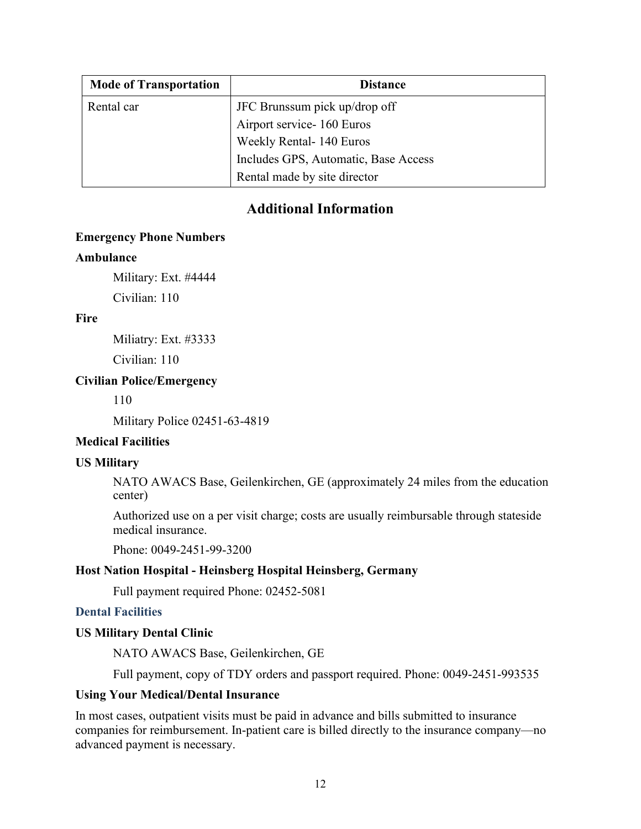| <b>Mode of Transportation</b> | <b>Distance</b>                      |
|-------------------------------|--------------------------------------|
| Rental car                    | JFC Brunssum pick up/drop off        |
|                               | Airport service-160 Euros            |
|                               | Weekly Rental-140 Euros              |
|                               | Includes GPS, Automatic, Base Access |
|                               | Rental made by site director         |

# **Additional Information**

#### <span id="page-11-0"></span>**Emergency Phone Numbers**

#### **Ambulance**

Military: Ext. #4444

Civilian: 110

## **Fire**

Miliatry: Ext. #3333

Civilian: 110

# **Civilian Police/Emergency**

110

Military Police 02451-63-4819

# **Medical Facilities**

# **US Military**

NATO AWACS Base, Geilenkirchen, GE (approximately 24 miles from the education center)

Authorized use on a per visit charge; costs are usually reimbursable through stateside medical insurance.

Phone: 0049-2451-99-3200

# **Host Nation Hospital - Heinsberg Hospital Heinsberg, Germany**

Full payment required Phone: 02452-5081

# **Dental Facilities**

# **US Military Dental Clinic**

NATO AWACS Base, Geilenkirchen, GE

Full payment, copy of TDY orders and passport required. Phone: 0049-2451-993535

#### **Using Your Medical/Dental Insurance**

In most cases, outpatient visits must be paid in advance and bills submitted to insurance companies for reimbursement. In-patient care is billed directly to the insurance company—no advanced payment is necessary.